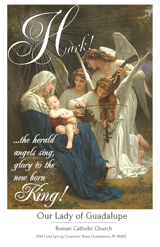

## Our Lady of Guadalupe

Roman Catholic Church 5194 Cold Spring Creamery Road Doylestown, PA 18902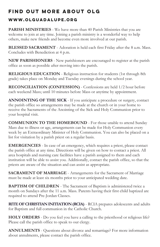## FIND OUT MORE ABOUT OLG

### WWW.OLGUADALUPE.ORG

**PARISH MINISTRIES** - We have more than 40 Parish Ministries that you are welcome to join at any time. Joining a parish ministry is a wonderful way to help others, make new friends and become even more involved at our parish.

**BLESSED SACRAMENT** - Adoration is held each first Friday after the 8 a.m. Mass. Concludes with Benediction at 4 p.m.

**NEW PARISHIONERS** - New parishioners are encouraged to register at the parish office as soon as possible after moving into the parish.

**RELIGIOUS EDUCATION** - Religious instruction for students (1st through 8th grade) takes place on Monday and Tuesday evenings during the school year.

**RECONCILIATION (CONFESSION)** - Confessions are held 1/2 hour before each weekend Mass; until 10 minutes before Mass or anytime by appointment.

**ANNOINTING OF THE SICK** - If you anticipate a procedure or surgery, contact the parish office so arrangements may be made at the church or in your home to receive the Sacraments of the Anointing of the Sick and Holy Communion prior to your hospital visit.

**COMMUNION TO THE HOMEBOUND** - For those unable to attend Sunday Mass due to illness or age, arrangements can be made for Holy Communion every week by an Extraordinary Minister of Holy Communion. You can also be placed on a list for visitation by a parish priest on a regular basis.

**EMERGENCIES** - In case of an emergency, which requires a priest, please contact the parish office at any time. Directions will be given on how to contact a priest. All area hospitals and nursing care facilities have a parish assigned to them and each institution will be able to assist you. Additionally, contact the parish office, so that the priests are aware of the situation and can assist as appropriate.

**SACRAMENT OF MARRIAGE** - Arrangements for the Sacrament of Marriage must be made at least six months prior to your anticipated wedding date.

**BAPTISM OF CHILDREN** - The Sacrament of Baptism is administered twice a month on Sundays after the 11 a.m. Mass. Parents having their first child baptized are required to attend Pre-Jordan Classes.

**RITE OF CHRISTIAN INITIATION (RCIA)** - RCIA prepares adolescents and adults for Baptism and full communion in the Catholic Church.

**HOLY ORDERS** - Do you feel you have a calling to the priesthood or religious life? Please call the parish office to speak to our clergy.

**ANNULMENTS** - Questions about divorce and remarriage? For more information about annulments, please contact the parish office.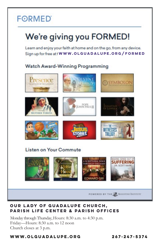## **FORMED**

# We're giving you FORMED!

Learn and enjoy your faith at home and on the go, from any device. Sign up for free at | WWW.OLGUADALUPE.ORG/FORMED

### Watch Award-Winning Programming



#### OUR LADY OF GUADALUPE CHURCH, **PARISH LIFE CENTER & PARISH OFFICES**

Monday through Thursday, Hours: 8:30 a.m. to 4:30 p.m. Friday-Hours: 8:30 a.m. to 12 noon Church closes at 3 p.m.

#### WWW.OLGUADALUPE.ORG

 $267 - 247 - 5374$